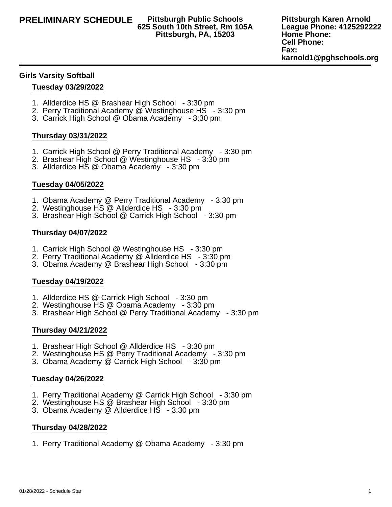# **625 South 10th Street, Rm 105A Pittsburgh, PA, 15203**

**Pittsburgh Karen Arnold League Phone: 4125292222 Home Phone: Cell Phone: Fax: karnold1@pghschools.org**

### **Girls Varsity Softball**

### **Tuesday 03/29/2022**

- 1. Allderdice HS @ Brashear High School 3:30 pm
- 2. Perry Traditional Academy @ Westinghouse HS 3:30 pm
- 3. Carrick High School @ Obama Academy 3:30 pm

# **Thursday 03/31/2022**

- 1. Carrick High School @ Perry Traditional Academy 3:30 pm
- 2. Brashear High School @ Westinghouse HS 3:30 pm
- 3. Allderdice HS @ Obama Academy 3:30 pm

# **Tuesday 04/05/2022**

- 1. Obama Academy @ Perry Traditional Academy 3:30 pm
- 2. Westinghouse HS @ Allderdice HS 3:30 pm
- 3. Brashear High School @ Carrick High School 3:30 pm

#### **Thursday 04/07/2022**

- 1. Carrick High School @ Westinghouse HS 3:30 pm
- 2. Perry Traditional Academy @ Allderdice HS 3:30 pm
- 3. Obama Academy @ Brashear High School 3:30 pm

# **Tuesday 04/19/2022**

- 1. Allderdice HS @ Carrick High School 3:30 pm
- 2. Westinghouse HS @ Obama Academy 3:30 pm
- 3. Brashear High School @ Perry Traditional Academy 3:30 pm

# **Thursday 04/21/2022**

- 1. Brashear High School @ Allderdice HS 3:30 pm
- 2. Westinghouse HS @ Perry Traditional Academy 3:30 pm
- 3. Obama Academy @ Carrick High School 3:30 pm

# **Tuesday 04/26/2022**

- 1. Perry Traditional Academy @ Carrick High School 3:30 pm
- 2. Westinghouse HS @ Brashear High School 3:30 pm
- 3. Obama Academy @ Allderdice HS 3:30 pm

#### **Thursday 04/28/2022**

1. Perry Traditional Academy @ Obama Academy - 3:30 pm